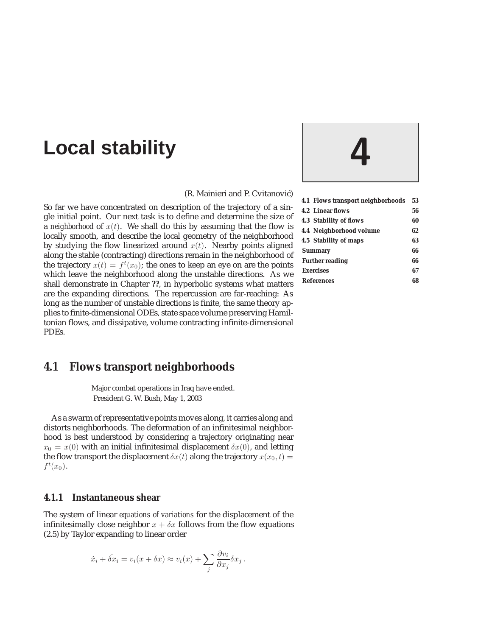# **Local stability 4**

(R. Mainieri and P. Cvitanović)

So far we have concentrated on description of the trajectory of a single initial point. Our next task is to define and determine the size of a *neighborhood* of  $x(t)$ . We shall do this by assuming that the flow is locally smooth, and describe the local geometry of the neighborhood by studying the flow linearized around  $x(t)$ . Nearby points aligned along the stable (contracting) directions remain in the neighborhood of the trajectory  $x(t) = f^t(x_0)$ ; the ones to keep an eye on are the points which leave the neighborhood along the unstable directions. As we shall demonstrate in Chapter **??**, in hyperbolic systems what matters are the expanding directions. The repercussion are far-reaching: As long as the number of unstable directions is finite, the same theory applies to finite-dimensional ODEs, state space volume preserving Hamiltonian flows, and dissipative, volume contracting infinite-dimensional PDEs.

# **4.1 Flows transport neighborhoods**

Major combat operations in Iraq have ended. President G. W. Bush, May 1, 2003

As a swarm of representative points moves along, it carries along and distorts neighborhoods. The deformation of an infinitesimal neighborhood is best understood by considering a trajectory originating near  $x_0 = x(0)$  with an initial infinitesimal displacement  $\delta x(0)$ , and letting the flow transport the displacement  $\delta x(t)$  along the trajectory  $x(x_0, t) =$  $f^t(x_0)$ .

## **4.1.1 Instantaneous shear**

The system of linear *equations of variations* for the displacement of the infinitesimally close neighbor  $x + \delta x$  follows from the flow equations (2.5) by Taylor expanding to linear order

$$
\dot{x}_i + \dot{\delta x}_i = v_i(x + \delta x) \approx v_i(x) + \sum_j \frac{\partial v_i}{\partial x_j} \delta x_j.
$$



| 4.1 Flows transport neighborhoods | 53 |
|-----------------------------------|----|
| <b>4.2 Linear flows</b>           | 56 |
| <b>4.3 Stability of flows</b>     | 60 |
| 4.4 Neighborhood volume           | 62 |
| 4.5 Stability of maps             | 63 |
| <b>Summary</b>                    | 66 |
| <b>Further reading</b>            | 66 |
| <b>Exercises</b>                  | 67 |
| <b>References</b>                 | 68 |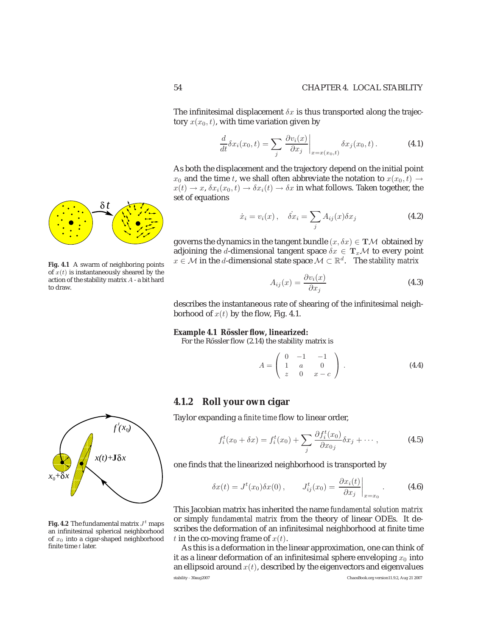The infinitesimal displacement  $\delta x$  is thus transported along the trajectory  $x(x_0, t)$ , with time variation given by

$$
\frac{d}{dt}\delta x_i(x_0,t) = \sum_j \left. \frac{\partial v_i(x)}{\partial x_j} \right|_{x=x(x_0,t)} \delta x_j(x_0,t).
$$
 (4.1)

As both the displacement and the trajectory depend on the initial point *x*<sub>0</sub> and the time *t*, we shall often abbreviate the notation to  $x(x_0, t) \rightarrow$  $x(t) \rightarrow x$ ,  $\delta x_i(x_0, t) \rightarrow \delta x_i(t) \rightarrow \delta x$  in what follows. Taken together, the set of equations

$$
\dot{x}_i = v_i(x), \quad \dot{\delta x}_i = \sum_j A_{ij}(x)\delta x_j \tag{4.2}
$$

governs the dynamics in the tangent bundle  $(x, \delta x) \in T\mathcal{M}$  obtained by adjoining the *d*-dimensional tangent space  $\delta x \in T_x \mathcal{M}$  to every point *x* ∈ *M* in the *d*-dimensional state space  $M \subset \mathbb{R}^d$ . The *stability matrix* 

$$
A_{ij}(x) = \frac{\partial v_i(x)}{\partial x_j} \tag{4.3}
$$

describes the instantaneous rate of shearing of the infinitesimal neighborhood of  $x(t)$  by the flow, Fig. 4.1.

#### **Example 4.1 Rössler flow, linearized:**

For the Rössler flow (2.14) the stability matrix is

$$
A = \begin{pmatrix} 0 & -1 & -1 \\ 1 & a & 0 \\ z & 0 & x - c \end{pmatrix} .
$$
 (4.4)

## **4.1.2 Roll your own cigar**

Taylor expanding a *finite time* flow to linear order,

$$
f_i^t(x_0 + \delta x) = f_i^t(x_0) + \sum_j \frac{\partial f_i^t(x_0)}{\partial x_{0j}} \delta x_j + \cdots, \qquad (4.5)
$$

one finds that the linearized neighborhood is transported by

$$
\delta x(t) = J^t(x_0)\delta x(0), \qquad J^t_{ij}(x_0) = \frac{\partial x_i(t)}{\partial x_j}\bigg|_{x=x_0}.
$$
 (4.6)

This Jacobian matrix has inherited the name *fundamental solution matrix* or simply *fundamental matrix* from the theory of linear ODEs. It describes the deformation of an infinitesimal neighborhood at finite time *t* in the co-moving frame of  $x(t)$ .

As this is a deformation in the linear approximation, one can think of it as a linear deformation of an infinitesimal sphere enveloping  $x_0$  into an ellipsoid around  $x(t)$ , described by the eigenvectors and eigenvalues stability - 30aug2007 ChaosBook.org version11.9.2, Aug 21 2007



**Fig. 4.1** A swarm of neighboring points of  $x(t)$  is instantaneously sheared by the action of the stability matrix A - a bit hard to draw.



**Fig. 4.2** The fundamental matrix  $J<sup>t</sup>$  maps an infinitesimal spherical neighborhood of  $x_0$  into a cigar-shaped neighborhood finite time  $t$  later.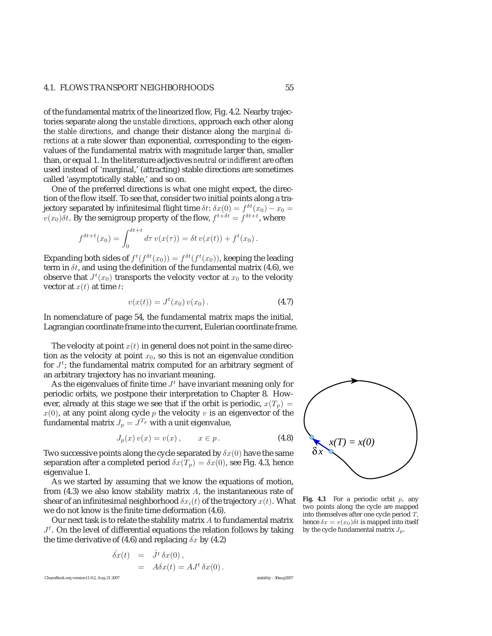## 4.1. FLOWS TRANSPORT NEIGHBORHOODS 55

of the fundamental matrix of the linearized flow, Fig. 4.2. Nearby trajectories separate along the *unstable directions*, approach each other along the *stable directions*, and change their distance along the *marginal directions* at a rate slower than exponential, corresponding to the eigenvalues of the fundamental matrix with magnitude larger than, smaller than, or equal 1. In the literature adjectives *neutral* or*indifferent* are often used instead of 'marginal,' (attracting) stable directions are sometimes called 'asymptotically stable,' and so on.

One of the preferred directions is what one might expect, the direction of the flow itself. To see that, consider two initial points along a trajectory separated by infinitesimal flight time  $\delta t$ :  $\delta x(0) = f^{\delta t}(x_0) - x_0 =$  $v(x_0)\delta t$ . By the semigroup property of the flow,  $f^{t+\delta t} = f^{\delta t+t}$ , where

$$
f^{\delta t + t}(x_0) = \int_0^{\delta t + t} d\tau \, v(x(\tau)) = \delta t \, v(x(t)) + f^t(x_0).
$$

Expanding both sides of  $f^t(f^{\delta t}(x_0)) = f^{\delta t}(f^t(x_0))$ , keeping the leading term in *δt*, and using the definition of the fundamental matrix (4.6), we observe that  $J^t(x_0)$  transports the velocity vector at  $x_0$  to the velocity vector at  $x(t)$  at time *t*:

$$
v(x(t)) = Jt(x0) v(x0).
$$
 (4.7)

In nomenclature of page 54, the fundamental matrix maps the initial, Lagrangian coordinate frame into the current, Eulerian coordinate frame.

The velocity at point  $x(t)$  in general does not point in the same direction as the velocity at point  $x_0$ , so this is not an eigenvalue condition for *J<sup>t</sup>* ; the fundamental matrix computed for an arbitrary segment of an arbitrary trajectory has no invariant meaning.

As the eigenvalues of finite time  $J<sup>t</sup>$  have invariant meaning only for periodic orbits, we postpone their interpretation to Chapter 8. However, already at this stage we see that if the orbit is periodic,  $x(T_p) =$  $x(0)$ , at any point along cycle  $p$  the velocity  $v$  is an eigenvector of the fundamental matrix  $J_p = J^{T_p}$  with a unit eigenvalue,

$$
J_p(x)v(x) = v(x), \qquad x \in p. \tag{4.8}
$$

Two successive points along the cycle separated by *δx*(0) have the same separation after a completed period  $\delta x(T_p) = \delta x(0)$ , see Fig. 4.3, hence eigenvalue 1.

As we started by assuming that we know the equations of motion, from (4.3) we also know stability matrix *A*, the instantaneous rate of shear of an infinitesimal neighborhood  $\delta x_i(t)$  of the trajectory  $x(t)$ . What we do not know is the finite time deformation (4.6).

Our next task is to relate the stability matrix *A* to fundamental matrix  $J<sup>t</sup>$ . On the level of differential equations the relation follows by taking the time derivative of (4.6) and replacing  $\dot{\delta x}$  by (4.2)

$$
\dot{\delta x}(t) = J^t \delta x(0), \n= A \delta x(t) = A J^t \delta x(0).
$$

 $\delta x$ *x(T) = x(0)*

Fig. 4.3 For a periodic orbit p, any two points along the cycle are mapped into themselves after one cycle period T, hence  $\delta x = v(x_0)\delta t$  is mapped into itself by the cycle fundamental matrix  $J_p$ .

ChaosBook.org version11.9.2, Aug 21 2007 stability - 30aug2007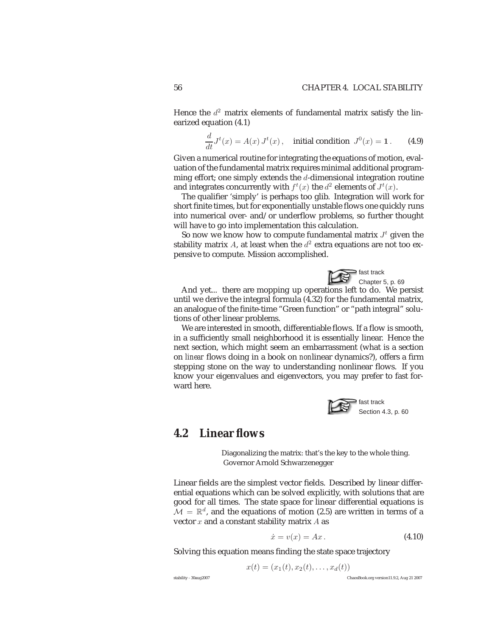Hence the  $d^2$  matrix elements of fundamental matrix satisfy the linearized equation (4.1)

$$
\frac{d}{dt}J^t(x) = A(x) J^t(x),
$$
 initial condition  $J^0(x) = 1.$  (4.9)

Given a numerical routine for integrating the equations of motion, evaluation of the fundamental matrix requires minimal additional programming effort; one simply extends the *d*-dimensional integration routine and integrates concurrently with  $f^t(x)$  the  $d^2$  elements of  $J^t(x)$ .

The qualifier 'simply' is perhaps too glib. Integration will work for short finite times, but for exponentially unstable flows one quickly runs into numerical over- and/or underflow problems, so further thought will have to go into implementation this calculation.

So now we know how to compute fundamental matrix  $J<sup>t</sup>$  given the stability matrix *A*, at least when the  $d^2$  extra equations are not too expensive to compute. Mission accomplished.



And yet... there are mopping up operations left to do. We persist until we derive the integral formula (4.32) for the fundamental matrix, an analogue of the finite-time "Green function" or "path integral" solutions of other linear problems.

We are interested in smooth, differentiable flows. If a flow is smooth, in a sufficiently small neighborhood it is essentially linear. Hence the next section, which might seem an embarrassment (what is a section on *linear* flows doing in a book on *non*linear dynamics?), offers a firm stepping stone on the way to understanding nonlinear flows. If you know your eigenvalues and eigenvectors, you may prefer to fast forward here.



## **4.2 Linear flows**

Diagonalizing the matrix: that's the key to the whole thing. Governor Arnold Schwarzenegger

Linear fields are the simplest vector fields. Described by linear differential equations which can be solved explicitly, with solutions that are good for all times. The state space for linear differential equations is  $\mathcal{M} = \mathbb{R}^d$ , and the equations of motion (2.5) are written in terms of a vector *x* and a constant stability matrix *A* as

$$
\dot{x} = v(x) = Ax. \tag{4.10}
$$

Solving this equation means finding the state space trajectory

$$
x(t)=(x_1(t),x_2(t),\ldots,x_d(t))
$$

stability - 30aug2007 ChaosBook.org version11.9.2, Aug 21 2007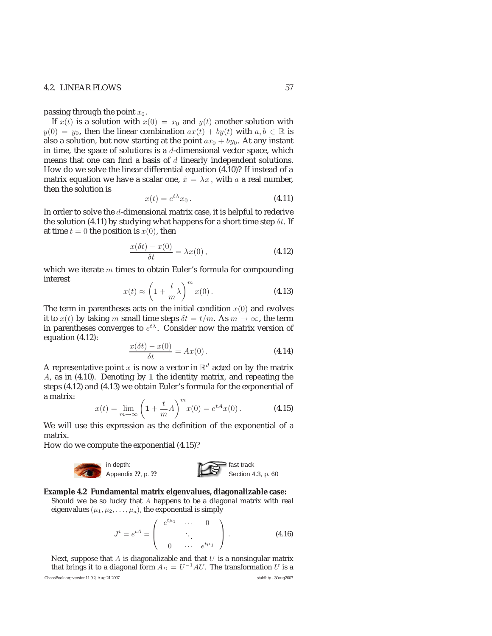## 4.2. LINEAR FLOWS 57

passing through the point  $x_0$ .

If  $x(t)$  is a solution with  $x(0) = x_0$  and  $y(t)$  another solution with  $y(0) = y_0$ , then the linear combination  $ax(t) + by(t)$  with  $a, b \in \mathbb{R}$  is also a solution, but now starting at the point  $ax_0 + by_0$ . At any instant in time, the space of solutions is a *d*-dimensional vector space, which means that one can find a basis of *d* linearly independent solutions. How do we solve the linear differential equation (4.10)? If instead of a matrix equation we have a scalar one,  $\dot{x} = \lambda x$ , with a a real number, then the solution is

$$
x(t) = e^{t\lambda} x_0.
$$
 (4.11)

In order to solve the *d*-dimensional matrix case, it is helpful to rederive the solution (4.11) by studying what happens for a short time step *δt*. If at time  $t = 0$  the position is  $x(0)$ , then

$$
\frac{x(\delta t) - x(0)}{\delta t} = \lambda x(0),
$$
\n(4.12)

which we iterate *m* times to obtain Euler's formula for compounding interest

$$
x(t) \approx \left(1 + \frac{t}{m}\lambda\right)^m x(0). \tag{4.13}
$$

The term in parentheses acts on the initial condition  $x(0)$  and evolves it to  $x(t)$  by taking *m* small time steps  $\delta t = t/m$ . As  $m \to \infty$ , the term in parentheses converges to  $e^{t\lambda}$ . Consider now the matrix version of equation (4.12):

$$
\frac{x(\delta t) - x(0)}{\delta t} = Ax(0).
$$
 (4.14)

A representative point *x* is now a vector in  $\mathbb{R}^d$  acted on by the matrix *A*, as in (4.10). Denoting by **1** the identity matrix, and repeating the steps (4.12) and (4.13) we obtain Euler's formula for the exponential of a matrix:

$$
x(t) = \lim_{m \to \infty} \left( 1 + \frac{t}{m} A \right)^m x(0) = e^{tA} x(0).
$$
 (4.15)

We will use this expression as the definition of the exponential of a matrix.

How do we compute the exponential (4.15)?



## **Example 4.2 Fundamental matrix eigenvalues, diagonalizable case:**

Should we be so lucky that A happens to be a diagonal matrix with real eigenvalues  $(\mu_1, \mu_2, \ldots, \mu_d)$ , the exponential is simply

$$
J^{t} = e^{tA} = \begin{pmatrix} e^{t\mu_1} & \cdots & 0 \\ & \ddots & \\ 0 & \cdots & e^{t\mu_d} \end{pmatrix} .
$$
 (4.16)

Next, suppose that  $A$  is diagonalizable and that  $U$  is a nonsingular matrix that brings it to a diagonal form  $A_D = U^{-1}AU$ . The transformation U is a

ChaosBook.org version11.9.2, Aug 21 2007 stability - 30aug2007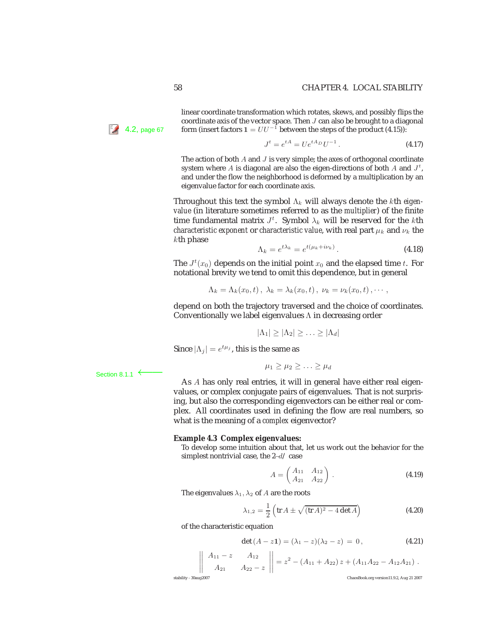linear coordinate transformation which rotates, skews, and possibly flips the coordinate axis of the vector space. Then  $J$  can also be brought to a diagonal **form** (insert factors  $1 = UU^{-1}$  between the steps of the product (4.15)):

$$
J^t = e^{tA} = Ue^{tA_D}U^{-1}.
$$
 (4.17)

The action of both  $A$  and  $J$  is very simple; the axes of orthogonal coordinate system where A is diagonal are also the eigen-directions of both A and  $J^t$ , and under the flow the neighborhood is deformed by a multiplication by an eigenvalue factor for each coordinate axis.

Throughout this text the symbol Λ*<sup>k</sup>* will always denote the *k*th *eigenvalue* (in literature sometimes referred to as the *multiplier*) of the finite time fundamental matrix  $J^t$ . Symbol  $\lambda_k$  will be reserved for the *k*th *characteristic exponent* or *characteristic value*, with real part  $\mu_k$  and  $\nu_k$  the *k*th phase

$$
\Lambda_k = e^{t\lambda_k} = e^{t(\mu_k + i\nu_k)}.
$$
\n(4.18)

The  $J^t(x_0)$  depends on the initial point  $x_0$  and the elapsed time  $t$ . For notational brevity we tend to omit this dependence, but in general

$$
\Lambda_k = \Lambda_k(x_0, t), \lambda_k = \lambda_k(x_0, t), \nu_k = \nu_k(x_0, t), \cdots,
$$

depend on both the trajectory traversed and the choice of coordinates. Conventionally we label eigenvalues Λ in decreasing order

$$
|\Lambda_1| \geq |\Lambda_2| \geq \ldots \geq |\Lambda_d|
$$

Since  $|\Lambda_j| = e^{t\mu_j}$ , this is the same as

$$
\mu_1 \geq \mu_2 \geq \ldots \geq \mu_d
$$

As *A* has only real entries, it will in general have either real eigenvalues, or complex conjugate pairs of eigenvalues. That is not surprising, but also the corresponding eigenvectors can be either real or complex. All coordinates used in defining the flow are real numbers, so what is the meaning of a *complex* eigenvector?

#### **Example 4.3 Complex eigenvalues:**

To develop some intuition about that, let us work out the behavior for the simplest nontrivial case, the 2−d/ case

$$
A = \begin{pmatrix} A_{11} & A_{12} \\ A_{21} & A_{22} \end{pmatrix} .
$$
 (4.19)

The eigenvalues  $\lambda_1, \lambda_2$  of A are the roots

$$
\lambda_{1,2} = \frac{1}{2} \left( \text{tr} \, A \pm \sqrt{(\text{tr} \, A)^2 - 4 \det A} \right) \tag{4.20}
$$

of the characteristic equation

$$
\det (A - z\mathbf{1}) = (\lambda_1 - z)(\lambda_2 - z) = 0, \tag{4.21}
$$

$$
\begin{vmatrix} A_{11} - z & A_{12} \ A_{21} & A_{22} - z \end{vmatrix} = z^2 - (A_{11} + A_{22}) z + (A_{11}A_{22} - A_{12}A_{21}).
$$

 $\vert$ 

 $\overline{\phantom{a}}$  $\overline{\phantom{a}}$  $\overline{\phantom{a}}$  $\overline{\phantom{a}}$   $\bigg\}$  $\overline{\phantom{a}}$  $\frac{1}{2}$  $\overline{\phantom{a}}$ 

ChaosBook.org version11.9.2, Aug 21 2007

Section 8.1.1  $\leftarrow$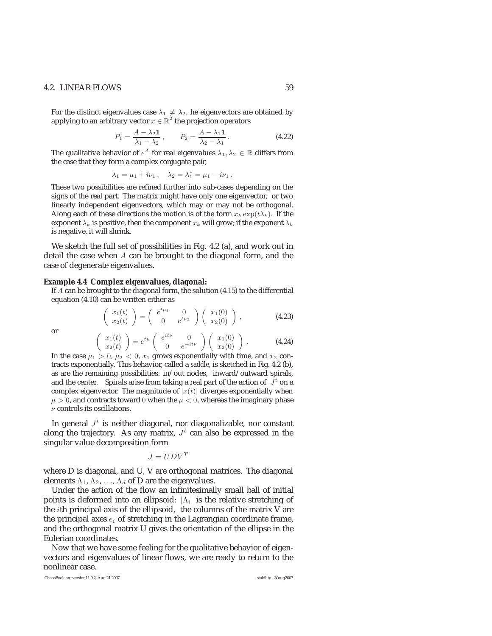## 4.2. LINEAR FLOWS 59

For the distinct eigenvalues case  $\lambda_1 \neq \lambda_2$ , he eigenvectors are obtained by applying to an arbitrary vector  $x\in\mathbb{R}^2$  the projection operators

$$
P_1 = \frac{A - \lambda_2 \mathbf{1}}{\lambda_1 - \lambda_2}, \qquad P_2 = \frac{A - \lambda_1 \mathbf{1}}{\lambda_2 - \lambda_1}.
$$
 (4.22)

The qualitative behavior of  $e^A$  for real eigenvalues  $\lambda_1, \lambda_2 \in \mathbb{R}$  differs from the case that they form a complex conjugate pair,

$$
\lambda_1 = \mu_1 + i\nu_1
$$
,  $\lambda_2 = \lambda_1^* = \mu_1 - i\nu_1$ .

These two possibilities are refined further into sub-cases depending on the signs of the real part. The matrix might have only one eigenvector, or two linearly independent eigenvectors, which may or may not be orthogonal. Along each of these directions the motion is of the form  $x_k \exp(t\lambda_k)$ . If the exponent  $\lambda_k$  is positive, then the component  $x_k$  will grow; if the exponent  $\lambda_k$ is negative, it will shrink.

We sketch the full set of possibilities in Fig. 4.2 (a), and work out in detail the case when *A* can be brought to the diagonal form, and the case of degenerate eigenvalues.

#### **Example 4.4 Complex eigenvalues, diagonal:**

If A can be brought to the diagonal form, the solution (4.15) to the differential equation (4.10) can be written either as

$$
\left(\begin{array}{c} x_1(t) \\ x_2(t) \end{array}\right) = \left(\begin{array}{cc} e^{t\mu_1} & 0 \\ 0 & e^{t\mu_2} \end{array}\right) \left(\begin{array}{c} x_1(0) \\ x_2(0) \end{array}\right) , \qquad (4.23)
$$

or

$$
\begin{pmatrix}\nx_1(t) \\
x_2(t)\n\end{pmatrix} = e^{t\mu} \begin{pmatrix} e^{it\nu} & 0 \\
0 & e^{-it\nu}\n\end{pmatrix} \begin{pmatrix}\nx_1(0) \\
x_2(0)\n\end{pmatrix} .
$$
\n(4.24)

In the case  $\mu_1 > 0$ ,  $\mu_2 < 0$ ,  $x_1$  grows exponentially with time, and  $x_2$  contracts exponentially. This behavior, called a *saddle*, is sketched in Fig. 4.2 (b), as are the remaining possibilities: in/out nodes, inward/outward spirals, and the center. Spirals arise from taking a real part of the action of  $J<sup>t</sup>$  on a complex eigenvector. The magnitude of  $|x(t)|$  diverges exponentially when  $\mu > 0$ , and contracts toward 0 when the  $\mu < 0$ , whereas the imaginary phase  $\nu$  controls its oscillations.

In general  $J<sup>t</sup>$  is neither diagonal, nor diagonalizable, nor constant along the trajectory. As any matrix,  $J<sup>t</sup>$  can also be expressed in the singular value decomposition form

$$
J=UDV^T
$$

where D is diagonal, and U, V are orthogonal matrices. The diagonal elements  $\Lambda_1$ ,  $\Lambda_2$ , ...,  $\Lambda_d$  of D are the eigenvalues.

Under the action of the flow an infinitesimally small ball of initial points is deformed into an ellipsoid: |Λ*i*| is the relative stretching of the *i*th principal axis of the ellipsoid, the columns of the matrix V are the principal axes *e<sup>i</sup>* of stretching in the Lagrangian coordinate frame, and the orthogonal matrix U gives the orientation of the ellipse in the Eulerian coordinates.

Now that we have some feeling for the qualitative behavior of eigenvectors and eigenvalues of linear flows, we are ready to return to the nonlinear case.

ChaosBook.org version11.9.2, Aug 21 2007 stability - 30aug2007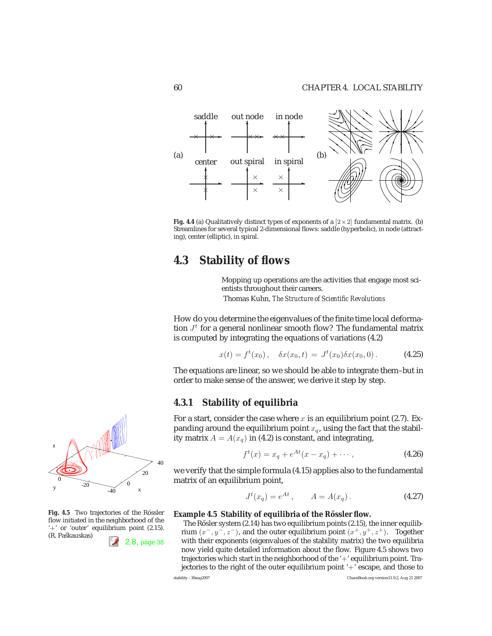

**Fig. 4.4** (a) Qualitatively distinct types of exponents of a  $[2 \times 2]$  fundamental matrix. (b) Streamlines for several typical 2-dimensional flows: saddle (hyperbolic), in node (attracting), center (elliptic), in spiral.

# **4.3 Stability of flows**

Mopping up operations are the activities that engage most scientists throughout their careers.

Thomas Kuhn, *The Structure of Scientific Revolutions*

How do you determine the eigenvalues of the finite time local deformation  $J<sup>t</sup>$  for a general nonlinear smooth flow? The fundamental matrix is computed by integrating the equations of variations (4.2)

$$
x(t) = ft(x0), \quad \delta x(x0, t) = Jt(x0)\delta x(x0, 0).
$$
 (4.25)

The equations are linear, so we should be able to integrate them–but in order to make sense of the answer, we derive it step by step.

## **4.3.1 Stability of equilibria**

For a start, consider the case where *x* is an equilibrium point (2.7). Expanding around the equilibrium point  $x_q$ , using the fact that the stability matrix  $A = A(x_q)$  in (4.2) is constant, and integrating,

$$
f^{t}(x) = x_{q} + e^{At}(x - x_{q}) + \cdots,
$$
 (4.26)

we verify that the simple formula (4.15) applies also to the fundamental matrix of an equilibrium point,

$$
J^{t}(x_q) = e^{At}, \t A = A(x_q). \t (4.27)
$$

#### **Example 4.5 Stability of equilibria of the Rössler flow.**

The Rösler system  $(2.14)$  has two equilibrium points  $(2.15)$ , the inner equilibrium  $(x^-, y^-, z^-)$ , and the outer equilibrium point  $(x^+, y^+, z^+)$ . Together 2.8, page 38 with their exponents (eigenvalues of the stability matrix) the two equilibria now yield quite detailed information about the flow. Figure 4.5 shows two trajectories which start in the neighborhood of the '+' equilibrium point. Trajectories to the right of the outer equilibrium point '+' escape, and those to stability - 30aug2007 ChaosBook.org version11.9.2, Aug 21 2007



Fig. 4.5 Two trajectories of the Rössler flow initiated in the neighborhood of the '+' or 'outer' equilibrium point (2.15). (R. Paškauskas)

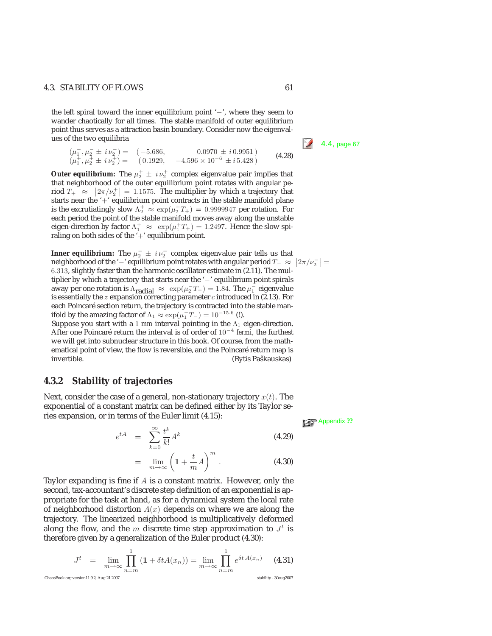## 4.3. STABILITY OF FLOWS 61

the left spiral toward the inner equilibrium point '−', where they seem to wander chaotically for all times. The stable manifold of outer equilibrium point thus serves as a attraction basin boundary. Consider now the eigenvalues of the two equilibria  $\sqrt{2}$  4.4, page 67

$$
(\mu_1^-,\mu_2^- \pm i\nu_2^-) = (-5.686, \qquad 0.0970 \pm i0.9951) (\mu_1^+,\mu_2^+ \pm i\nu_2^+) = (0.1929, \quad -4.596 \times 10^{-6} \pm i5.428)
$$
 (4.28)

**Outer equilibrium:** The  $\mu_2^+ \pm i \nu_2^+$  complex eigenvalue pair implies that that neighborhood of the outer equilibrium point rotates with angular period  $T_+ \approx |2\pi/\nu_2^+| = 1.1575$ . The multiplier by which a trajectory that starts near the  $+$  equilibrium point contracts in the stable manifold plane is the excrutiatingly slow  $\Lambda_2^+ \approx \exp(\mu_2^+ T_+) = 0.9999947$  per rotation. For each period the point of the stable manifold moves away along the unstable eigen-direction by factor  $\Lambda_1^+ \approx \exp(\mu_1^+ T_+) = 1.2497$ . Hence the slow spiraling on both sides of the  $+$ ' equilibrium point.

**Inner equilibrium:** The  $\mu_2^+ \pm i \nu_2^-$  complex eigenvalue pair tells us that neighborhood of the '−' equilibrium point rotates with angular period  $T_-\approx |2\pi/\nu_2^-|$ 6.313, slightly faster than the harmonic oscillator estimate in (2.11). The multiplier by which a trajectory that starts near the '−' equilibrium point spirals away per one rotation is  $\Lambda_{radial} \approx \exp(\mu_2 T_-) = 1.84$ . The  $\mu_1^-$  eigenvalue is essentially the  $z$  expansion correcting parameter  $c$  introduced in (2.13). For each Poincaré section return, the trajectory is contracted into the stable manifold by the amazing factor of  $\Lambda_1 \approx \exp(\mu_1^- T_-) = 10^{-15.6}$  (!). Suppose you start with a 1  $mm$  interval pointing in the  $\Lambda_1$  eigen-direction. After one Poincar´e return the interval is of order of 10<sup>−</sup><sup>4</sup> *fermi*, the furthest we will get into subnuclear structure in this book. Of course, from the mathematical point of view, the flow is reversible, and the Poincaré return map is invertible. (Rytis Paškauskas)

## **4.3.2 Stability of trajectories**

Next, consider the case of a general, non-stationary trajectory *x*(*t*). The exponential of a constant matrix can be defined either by its Taylor series expansion, or in terms of the Euler limit (4.15): **Appendix ??** 

$$
e^{tA} = \sum_{k=0}^{\infty} \frac{t^k}{k!} A^k
$$
 (4.29)

$$
= \lim_{m \to \infty} \left( 1 + \frac{t}{m} A \right)^m . \tag{4.30}
$$

Taylor expanding is fine if *A* is a constant matrix. However, only the second, tax-accountant's discrete step definition of an exponential is appropriate for the task at hand, as for a dynamical system the local rate of neighborhood distortion *A*(*x*) depends on where we are along the trajectory. The linearized neighborhood is multiplicatively deformed along the flow, and the *m* discrete time step approximation to  $J<sup>t</sup>$  is therefore given by a generalization of the Euler product (4.30):

$$
J^{t} = \lim_{m \to \infty} \prod_{n=m}^{1} (1 + \delta t A(x_{n})) = \lim_{m \to \infty} \prod_{n=m}^{1} e^{\delta t A(x_{n})}
$$
(4.31)  
ChassBook.org version11.9.2, Aug 21 2007 (4.31)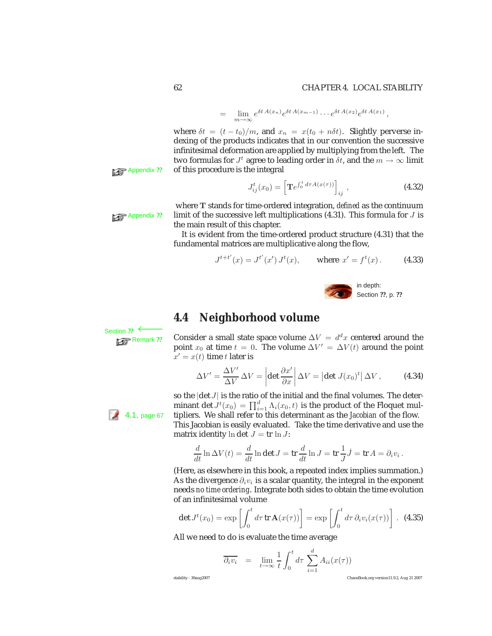## 62 CHAPTER 4. LOCAL STABILITY

$$
= \lim_{m\to\infty} e^{\delta t A(x_n)} e^{\delta t A(x_{m-1})} \cdots e^{\delta t A(x_2)} e^{\delta t A(x_1)},
$$

where  $\delta t = (t - t_0)/m$ , and  $x_n = x(t_0 + n\delta t)$ . Slightly perverse indexing of the products indicates that in our convention the successive infinitesimal deformation are applied by multiplying from the left. The two formulas for  $J^t$  agree to leading order in  $\delta t$ , and the  $m \to \infty$  limit **Appendix ??** of this procedure is the integral

$$
J_{ij}^{t}(x_0) = \left[ \mathbf{T} e^{\int_0^t d\tau A(x(\tau))} \right]_{ij}, \qquad (4.32)
$$

where **T** stands for time-ordered integration, *defined* as the continuum Appendix ?? limit of the successive left multiplications (4.31). This formula for *J* is the main result of this chapter.

> It is evident from the time-ordered product structure (4.31) that the fundamental matrices are multiplicative along the flow,

$$
J^{t+t'}(x) = J^{t'}(x') J^t(x), \qquad \text{where } x' = f^t(x). \tag{4.33}
$$



## **4.4 Neighborhood volume**

Section ?? ←<br>**Parameters** Remark ??

Consider a small state space volume  $\Delta V = d^d x$  centered around the point  $x_0$  at time  $t = 0$ . The volume  $\Delta V' = \Delta V(t)$  around the point  $x' = x(t)$  time *t* later is

$$
\Delta V' = \frac{\Delta V'}{\Delta V} \Delta V = \left| \det \frac{\partial x'}{\partial x} \right| \Delta V = \left| \det J(x_0)^t \right| \Delta V, \quad (4.34)
$$

so the |det *J*| is the ratio of the initial and the final volumes. The determinant det  $J^t(x_0) = \prod_{i=1}^d \Lambda_i(x_0, t)$  is the product of the Floquet mul- $4.1$ , page 67 tipliers. We shall refer to this determinant as the *Jacobian* of the flow. This Jacobian is easily evaluated. Take the time derivative and use the

matrix identity  $\ln \det J = \text{tr} \ln J$ :

$$
\frac{d}{dt}\ln \Delta V(t) = \frac{d}{dt}\ln \det J = \text{tr}\,\frac{d}{dt}\ln J = \text{tr}\,\frac{1}{J}\dot{J} = \text{tr}\,A = \partial_i v_i.
$$

(Here, as elsewhere in this book, a repeated index implies summation.) As the divergence *∂iv<sup>i</sup>* is a scalar quantity, the integral in the exponent needs *no time ordering*. Integrate both sides to obtain the time evolution of an infinitesimal volume

$$
\det J^t(x_0) = \exp\left[\int_0^t d\tau \operatorname{tr} \mathbf{A}(x(\tau))\right] = \exp\left[\int_0^t d\tau \,\partial_i v_i(x(\tau))\right]. \tag{4.35}
$$

All we need to do is evaluate the time average

$$
\overline{\partial_i v_i} = \lim_{t \to \infty} \frac{1}{t} \int_0^t d\tau \sum_{i=1}^d A_{ii}(x(\tau))
$$

stability - 30aug2007 ChaosBook.org version11.9.2, Aug 21 2007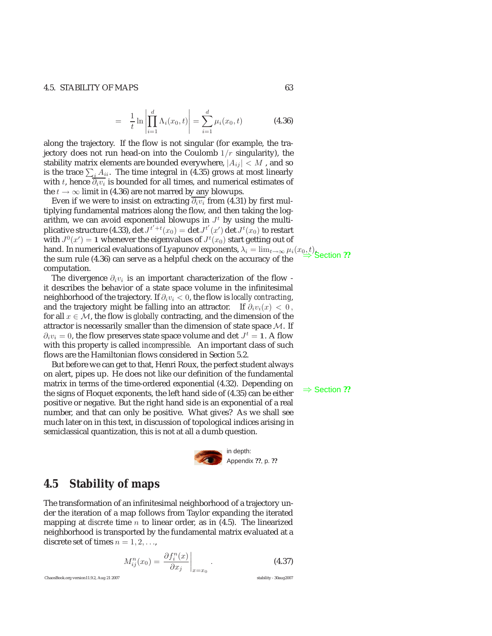### 4.5. STABILITY OF MAPS 63

$$
= \frac{1}{t} \ln \left| \prod_{i=1}^{d} \Lambda_i(x_0, t) \right| = \sum_{i=1}^{d} \mu_i(x_0, t)
$$
 (4.36)

along the trajectory. If the flow is not singular (for example, the trajectory does not run head-on into the Coulomb 1*/r* singularity), the stability matrix elements are bounded everywhere,  $|A_{ij}| < M$ , and so is the trace  $\sum_i A_{ii}.$  The time integral in (4.35) grows at most linearly with *t*, hence *∂iv<sup>i</sup>* is bounded for all times, and numerical estimates of the  $t \to \infty$  limit in (4.36) are not marred by any blowups.

Even if we were to insist on extracting  $\partial_i v_i$  from (4.31) by first multiplying fundamental matrices along the flow, and then taking the logarithm, we can avoid exponential blowups in  $J<sup>t</sup>$  by using the multiplicative structure (4.33),  $\det J^{t'+t}(x_0) = \det J^{t'}(x') \det J^t(x_0)$  to restart with  $J^0(x') = 1$  whenever the eigenvalues of  $J^t(x_0)$  start getting out of hand. In numerical evaluations of Lyapunov exponents,  $\lambda_i = \lim_{t \to \infty} \mu_i(x_0, t)$ , the sum rule (4.36) can serve as a helpful check on the accuracy of the computation.

The divergence *∂iv<sup>i</sup>* is an important characterization of the flow it describes the behavior of a state space volume in the infinitesimal neighborhood of the trajectory. If *∂iv<sup>i</sup> <* 0, the flow is *locally contracting*, and the trajectory might be falling into an attractor. If  $\partial_i v_i(x) < 0$ , for all  $x \in M$ , the flow is *globally* contracting, and the dimension of the attractor is necessarily smaller than the dimension of state space M. If  $\partial_i v_i = 0$ , the flow preserves state space volume and det  $J^t = 1$ . A flow with this property is called *incompressible*. An important class of such flows are the Hamiltonian flows considered in Section 5.2.

But before we can get to that, Henri Roux, the perfect student always on alert, pipes up. He does not like our definition of the fundamental matrix in terms of the time-ordered exponential (4.32). Depending on the signs of Floquet exponents, the left hand side of (4.35) can be either  $\Rightarrow$  Section ?? positive or negative. But the right hand side is an exponential of a real number, and that can only be positive. What gives? As we shall see much later on in this text, in discussion of topological indices arising in semiclassical quantization, this is not at all a dumb question.



## **4.5 Stability of maps**

The transformation of an infinitesimal neighborhood of a trajectory under the iteration of a map follows from Taylor expanding the iterated mapping at *discrete* time *n* to linear order, as in (4.5). The linearized neighborhood is transported by the fundamental matrix evaluated at a discrete set of times  $n = 1, 2, \ldots$ ,

$$
M_{ij}^n(x_0) = \left. \frac{\partial f_i^n(x)}{\partial x_j} \right|_{x=x_0} . \tag{4.37}
$$

ChaosBook.org version11.9.2, Aug 21 2007 stability - 30aug2007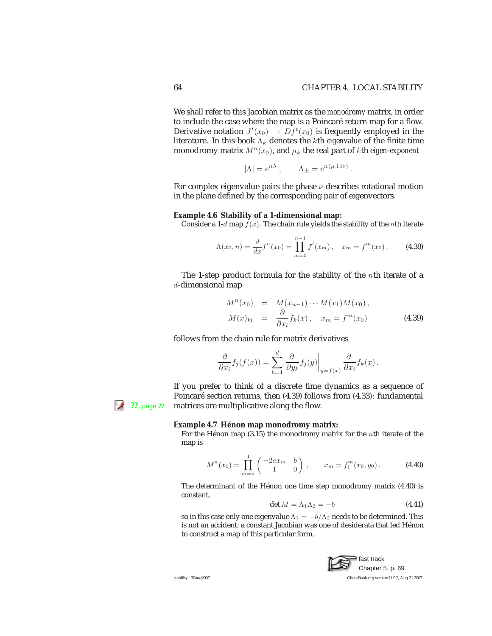We shall refer to this Jacobian matrix as the *monodromy* matrix, in order to include the case where the map is a Poincaré return map for a flow. Derivative notation  $J^t(x_0) \to Df^t(x_0)$  is frequently employed in the literature. In this book Λ*<sup>k</sup>* denotes the *k*th *eigenvalue* of the finite time monodromy matrix  $M^n(x_0)$ , and  $\mu_k$  the real part of *k*th *eigen-exponent* 

$$
|\Lambda| = e^{n\lambda}, \qquad \Lambda_{\pm} = e^{n(\mu \pm i\nu)}.
$$

For complex eigenvalue pairs the phase *ν* describes rotational motion in the plane defined by the corresponding pair of eigenvectors.

#### **Example 4.6 Stability of a 1-dimensional map:**

Consider a 1-d map  $f(x)$ . The chain rule yields the stability of the *n*th iterate

$$
\Lambda(x_0, n) = \frac{d}{dx} f^n(x_0) = \prod_{m=0}^{n-1} f'(x_m), \quad x_m = f^m(x_0).
$$
 (4.38)

The 1-step product formula for the stability of the *n*th iterate of a *d*-dimensional map

$$
M^{n}(x_{0}) = M(x_{n-1}) \cdots M(x_{1})M(x_{0}),
$$
  
\n
$$
M(x)_{kl} = \frac{\partial}{\partial x_{l}} f_{k}(x), \quad x_{m} = f^{m}(x_{0})
$$
\n(4.39)

follows from the chain rule for matrix derivatives

$$
\frac{\partial}{\partial x_i} f_j(f(x)) = \sum_{k=1}^d \left. \frac{\partial}{\partial y_k} f_j(y) \right|_{y=f(x)} \frac{\partial}{\partial x_i} f_k(x) .
$$

If you prefer to think of a discrete time dynamics as a sequence of Poincaré section returns, then (4.39) follows from (4.33): fundamental **12.13. Page ??** matrices are multiplicative along the flow.

#### **Example 4.7 Hénon map monodromy matrix:**

For the Hénon map  $(3.15)$  the monodromy matrix for the *nth* iterate of the map is

$$
M^{n}(x_{0}) = \prod_{m=n}^{1} \begin{pmatrix} -2ax_{m} & b \\ 1 & 0 \end{pmatrix}, \qquad x_{m} = f_{1}^{m}(x_{0}, y_{0}). \tag{4.40}
$$

The determinant of the Hénon one time step monodromy matrix (4.40) is constant,

$$
\det M = \Lambda_1 \Lambda_2 = -b \tag{4.41}
$$

so in this case only one eigenvalue  $\Lambda_1 = -b/\Lambda_2$  needs to be determined. This is not an accident; a constant Jacobian was one of desiderata that led Hénon to construct a map of this particular form.

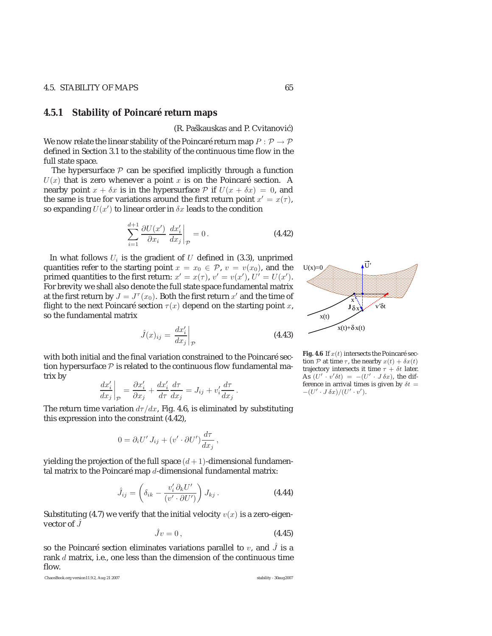## **4.5.1 Stability of Poincaré return maps**

(R. Paškauskas and P. Cvitanović)

We now relate the linear stability of the Poincaré return map  $P : \mathcal{P} \rightarrow \mathcal{P}$ defined in Section 3.1 to the stability of the continuous time flow in the full state space.

The hypersurface  $P$  can be specified implicitly through a function  $U(x)$  that is zero whenever a point *x* is on the Poincaré section. A nearby point  $x + \delta x$  is in the hypersurface  $P$  if  $U(x + \delta x) = 0$ , and the same is true for variations around the first return point  $x' = x(\tau)$ , so expanding  $U(x')$  to linear order in  $\delta x$  leads to the condition

$$
\sum_{i=1}^{d+1} \frac{\partial U(x')}{\partial x_i} \left. \frac{dx'_i}{dx_j} \right|_{\mathcal{P}} = 0.
$$
 (4.42)

In what follows  $U_i$  is the gradient of  $U$  defined in (3.3), unprimed quantities refer to the starting point  $x = x_0 \in \mathcal{P}$ ,  $v = v(x_0)$ , and the primed quantities to the first return:  $x' = x(\tau)$ ,  $v' = v(x')$ ,  $U' = U(x')$ . For brevity we shall also denote the full state space fundamental matrix at the first return by  $J = J^{\tau}(x_0)$ . Both the first return  $x'$  and the time of flight to the next Poincaré section  $\tau(x)$  depend on the starting point *x*, so the fundamental matrix

$$
\hat{J}(x)_{ij} = \left. \frac{dx_i'}{dx_j} \right|_{\mathcal{P}} \tag{4.43}
$$

with both initial and the final variation constrained to the Poincaré section hypersurface  $P$  is related to the continuous flow fundamental matrix by

$$
\left. \frac{dx_i'}{dx_j} \right|_{\mathcal{P}} = \frac{\partial x_i'}{\partial x_j} + \frac{dx_i'}{d\tau} \frac{d\tau}{dx_j} = J_{ij} + v_i' \frac{d\tau}{dx_j}.
$$

The return time variation  $d\tau/dx$ , Fig. 4.6, is eliminated by substituting this expression into the constraint (4.42),

$$
0 = \partial_i U' J_{ij} + (v' \cdot \partial U') \frac{d\tau}{dx_j},
$$

yielding the projection of the full space  $(d+1)$ -dimensional fundamental matrix to the Poincaré map *d*-dimensional fundamental matrix:

$$
\hat{J}_{ij} = \left(\delta_{ik} - \frac{v_i' \partial_k U'}{(v' \cdot \partial U')} \right) J_{kj}.
$$
\n(4.44)

Substituting (4.7) we verify that the initial velocity  $v(x)$  is a zero-eigenvector of *J*ˆ

$$
\hat{J}v = 0, \qquad (4.45)
$$

so the Poincaré section eliminates variations parallel to *v*, and  $\hat{J}$  is a rank *d* matrix, i.e., one less than the dimension of the continuous time flow.

ChaosBook.org version11.9.2, Aug 21 2007 stability - 30aug2007



---

-----U'

--

- $\epsilon$ 8 8 -

--8 -

---

-8 s ---

- $_{\rm \mathcal{E}}$ 8 ---

---

**Fig. 4.6** If  $x(t)$  intersects the Poincaré section  $P$  at time  $\tau$ , the nearby  $x(t) + \delta x(t)$ trajectory intersects it time  $\tau + \delta t$  later. As  $(U' \cdot v' \delta t) = -(U' \cdot J \delta x)$ , the dif-<br>ference in arrival times is given by  $\delta t$ ference in arrival times is given by  $\delta t =$  $-(U' \cdot J \, \delta x)/(U' \cdot v').$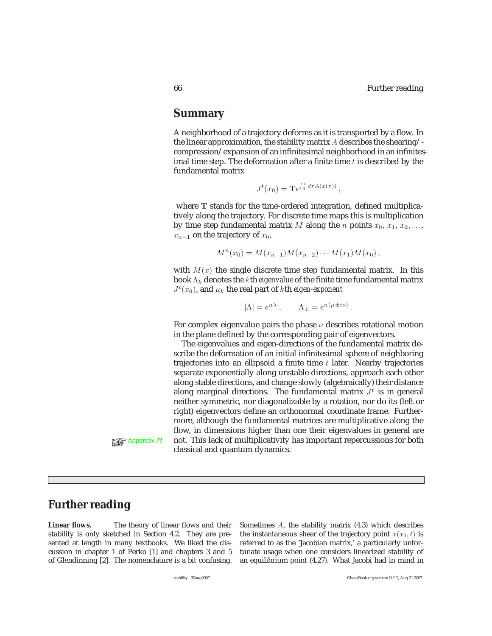## **Summary**

A neighborhood of a trajectory deforms as it is transported by a flow. In the linear approximation, the stability matrix *A* describes the shearing/ compression/expansion of an infinitesimal neighborhood in an infinitesimal time step. The deformation after a finite time *t* is described by the fundamental matrix

$$
J^t(x_0) = \mathbf{T}e^{\int_0^t d\tau A(x(\tau))},
$$

where **T** stands for the time-ordered integration, defined multiplicatively along the trajectory. For discrete time maps this is multiplication by time step fundamental matrix *M* along the *n* points  $x_0, x_1, x_2, \ldots$  $x_{n-1}$  on the trajectory of  $x_0$ ,

$$
M^{n}(x_0) = M(x_{n-1})M(x_{n-2})\cdots M(x_1)M(x_0),
$$

with  $M(x)$  the single discrete time step fundamental matrix. In this book Λ*<sup>k</sup>* denotes the *k*th *eigenvalue* of the finite time fundamental matrix  $J^t(x_0)$ , and  $\mu_k$  the real part of *k*th *eigen-exponent* 

$$
|\Lambda| = e^{n\lambda}, \qquad \Lambda_{\pm} = e^{n(\mu \pm i\nu)}.
$$

For complex eigenvalue pairs the phase *ν* describes rotational motion in the plane defined by the corresponding pair of eigenvectors.

The eigenvalues and eigen-directions of the fundamental matrix describe the deformation of an initial infinitesimal sphere of neighboring trajectories into an ellipsoid a finite time *t* later. Nearby trajectories separate exponentially along unstable directions, approach each other along stable directions, and change slowly (algebraically) their distance along marginal directions. The fundamental matrix  $J<sup>t</sup>$  is in general neither symmetric, nor diagonalizable by a rotation, nor do its (left or right) eigenvectors define an orthonormal coordinate frame. Furthermore, although the fundamental matrices are multiplicative along the flow, in dimensions higher than one their eigenvalues in general are Appendix ?? not. This lack of multiplicativity has important repercussions for both classical and quantum dynamics.

# **Further reading**

**Linear flows.** The theory of linear flows and their stability is only sketched in Section 4.2. They are presented at length in many textbooks. We liked the discussion in chapter 1 of Perko [1] and chapters 3 and 5 of Glendinning [2]. The nomenclature is a bit confusing.

Sometimes A, the stability matrix (4.3) which describes the instantaneous shear of the trajectory point  $x(x_0, t)$  is referred to as the 'Jacobian matrix,' a particularly unfortunate usage when one considers linearized stability of an equilibrium point (4.27). What Jacobi had in mind in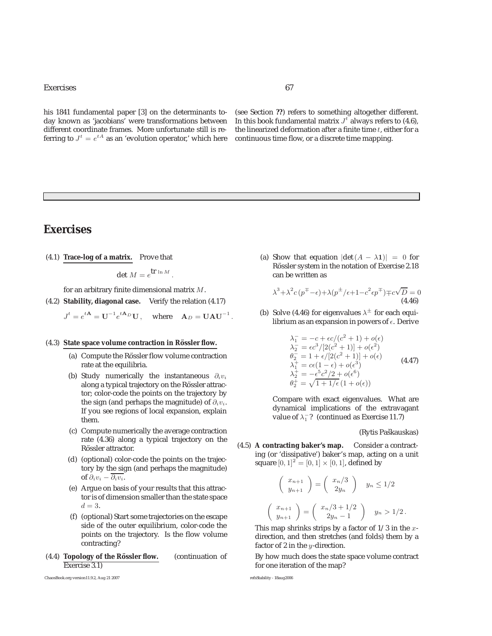### Exercises 67

his 1841 fundamental paper [3] on the determinants today known as 'jacobians' were transformations between different coordinate frames. More unfortunate still is referring to  $J^t=e^{tA}$  as an 'evolution operator,' which here continuous time flow, or a discrete time mapping.

(see Section **??**) refers to something altogether different. In this book fundamental matrix  $J<sup>t</sup>$  always refers to (4.6), the linearized deformation after a finite time  $t$ , either for a

# **Exercises**

(4.1) **Trace-log of a matrix.** Prove that

det  $M = e^{\int \mathbf{r} \ln M}$ .

for an arbitrary finite dimensional matrix  $M$ .

(4.2) **Stability, diagonal case.** Verify the relation (4.17)

$$
J^t = e^{t\mathbf{A}} = \mathbf{U}^{-1} e^{t\mathbf{A}_D} \mathbf{U}, \quad \text{where} \quad \mathbf{A}_D = \mathbf{U} \mathbf{A} \mathbf{U}^{-1}.
$$

#### (4.3) State space volume contraction in Rössler flow.

- (a) Compute the Rössler flow volume contraction rate at the equilibria.
- (b) Study numerically the instantaneous  $\partial_i v_i$ along a typical trajectory on the Rössler attractor; color-code the points on the trajectory by the sign (and perhaps the magnitude) of  $\partial_i v_i$ . If you see regions of local expansion, explain them.
- (c) Compute numerically the average contraction rate (4.36) along a typical trajectory on the Rössler attractor.
- (d) (optional) color-code the points on the trajectory by the sign (and perhaps the magnitude) of  $\partial_i v_i - \overline{\partial_i v_i}$ .
- (e) Argue on basis of your results that this attractor is of dimension smaller than the state space  $d = 3$ .
- (f) (optional) Start some trajectories on the escape side of the outer equilibrium, color-code the points on the trajectory. Is the flow volume contracting?
- (4.4) **Topology of the Rössler flow.** (continuation of Exercise 3.1)

ChaosBook.org version11.9.2, Aug 21 2007 refsStability - 18aug2006

(a) Show that equation  $|\det(A - \lambda \mathbf{1})| = 0$  for Rössler system in the notation of Exercise 2.18 can be written as

$$
\lambda^3 + \lambda^2 c (p^{\mp} - \epsilon) + \lambda (p^{\pm}/\epsilon + 1 - c^2 \epsilon p^{\mp}) \mp c \sqrt{D} = 0
$$
  
(4.46)

(b) Solve (4.46) for eigenvalues  $\lambda^{\pm}$  for each equilibrium as an expansion in powers of  $\epsilon$ . Derive

$$
\lambda_1 = -c + \epsilon c / (c^2 + 1) + o(\epsilon) \n\lambda_2 = \epsilon c^3 / [2(c^2 + 1)] + o(\epsilon^2) \n\theta_2 = 1 + \epsilon / [2(c^2 + 1)] + o(\epsilon) \n\lambda_1^+ = c(1 - \epsilon) + o(\epsilon^3) \n\lambda_2^+ = -\epsilon^5 c^2 / 2 + o(\epsilon^6) \n\theta_2^+ = \sqrt{1 + 1/\epsilon} (1 + o(\epsilon))
$$
\n(4.47)

Compare with exact eigenvalues. What are dynamical implications of the extravagant value of  $\lambda_1^-$ ? (continued as Exercise 11.7)

#### (Rytis Paškauskas)

(4.5) **A contracting baker's map.** Consider a contracting (or 'dissipative') baker's map, acting on a unit square  $[0, 1]^2 = [0, 1] \times [0, 1]$ , defined by

$$
\begin{pmatrix} x_{n+1} \\ y_{n+1} \end{pmatrix} = \begin{pmatrix} x_n/3 \\ 2y_n \end{pmatrix} \quad y_n \le 1/2
$$

$$
\begin{pmatrix} x_{n+1} \\ y_{n+1} \end{pmatrix} = \begin{pmatrix} x_n/3 + 1/2 \\ 2y_n - 1 \end{pmatrix} \quad y_n > 1/2.
$$

This map shrinks strips by a factor of  $1/3$  in the xdirection, and then stretches (and folds) them by a factor of 2 in the  $y$ -direction.

By how much does the state space volume contract for one iteration of the map?